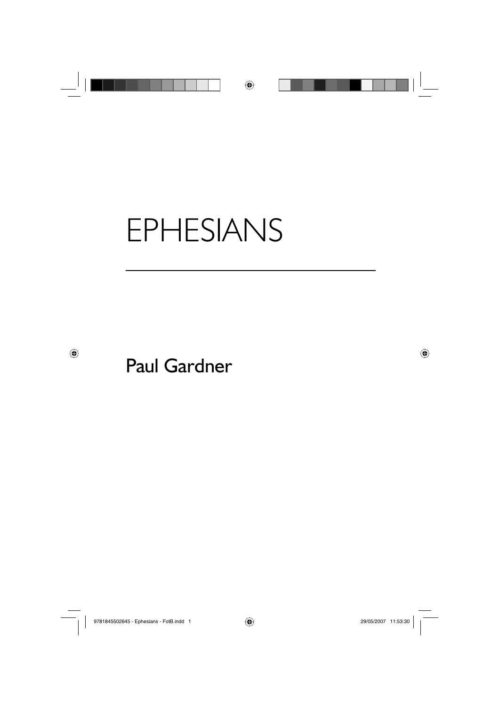

# EPHESIANS



Paul Gardner

9781845502645 - Ephesians - FotB.indd 1 781845502645 - Ephesians - FotB.indd 1 781845502645 - 29/05/2007 11:53:30 9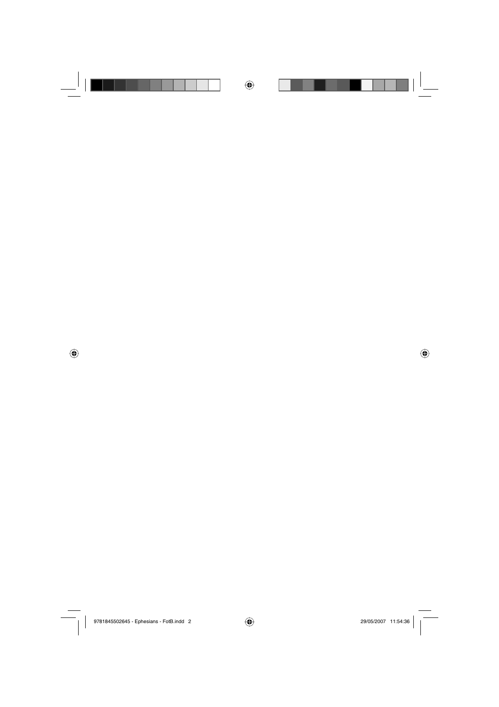| $\begin{array}{c} \begin{array}{c} \begin{array}{c} \end{array} \\ \end{array} \end{array}$ | <u>. Hermann and the second second second</u> |  | ----- |  |  |
|---------------------------------------------------------------------------------------------|-----------------------------------------------|--|-------|--|--|
|                                                                                             |                                               |  |       |  |  |

 $\bigoplus$ 

 $\bigoplus$ 

9781845502645 - Ephesians - FotB.indd 2 781845502645 - Ephesians - FotB.indd 2 78/05/2007 11:54:36  $\sqrt{\frac{1}{1.54 \cdot 36}}$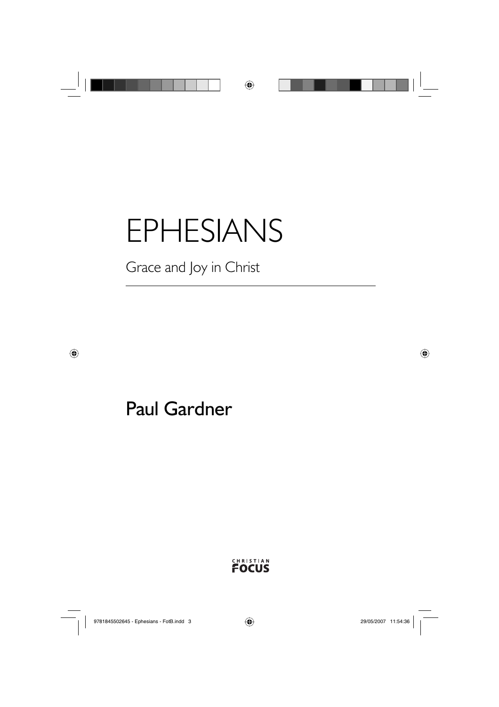

# EPHESIANS

Grace and Joy in Christ



Paul Gardner

**EDCUS**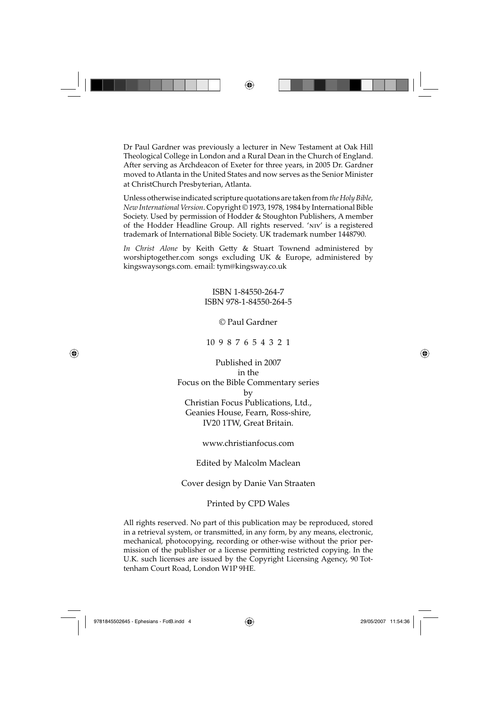$\textcolor{black}{\textcircled{\ell}}$ 

Dr Paul Gardner was previously a lecturer in New Testament at Oak Hill Theological College in London and a Rural Dean in the Church of England. After serving as Archdeacon of Exeter for three years, in 2005 Dr. Gardner moved to Atlanta in the United States and now serves as the Senior Minister at ChristChurch Presbyterian, Atlanta.

Unless otherwise indicated scripture quotations are taken from *the Holy Bible, New International Version*. Copyright © 1973, 1978, 1984 by International Bible Society. Used by permission of Hodder & Stoughton Publishers, A member of the Hodder Headline Group. All rights reserved. 'NIV' is a registered trademark of International Bible Society. UK trademark number 1448790.

*In Christ Alone* by Keith Getty & Stuart Townend administered by worshiptogether.com songs excluding UK & Europe, administered by kingswaysongs.com. email: tym@kingsway.co.uk

#### ISBN 1-84550-264-7 ISBN 978-1-84550-264-5

#### © Paul Gardner

10 9 8 7 6 5 4 3 2 1

Published in 2007 in the Focus on the Bible Commentary series by Christian Focus Publications, Ltd., Geanies House, Fearn, Ross-shire, IV20 1TW, Great Britain.

www.christianfocus.com

Edited by Malcolm Maclean

Cover design by Danie Van Straaten

Printed by CPD Wales

All rights reserved. No part of this publication may be reproduced, stored in a retrieval system, or transmitted, in any form, by any means, electronic, mechanical, photocopying, recording or other-wise without the prior permission of the publisher or a license permitting restricted copying. In the U.K. such licenses are issued by the Copyright Licensing Agency, 90 Tottenham Court Road, London W1P 9HE.

⊕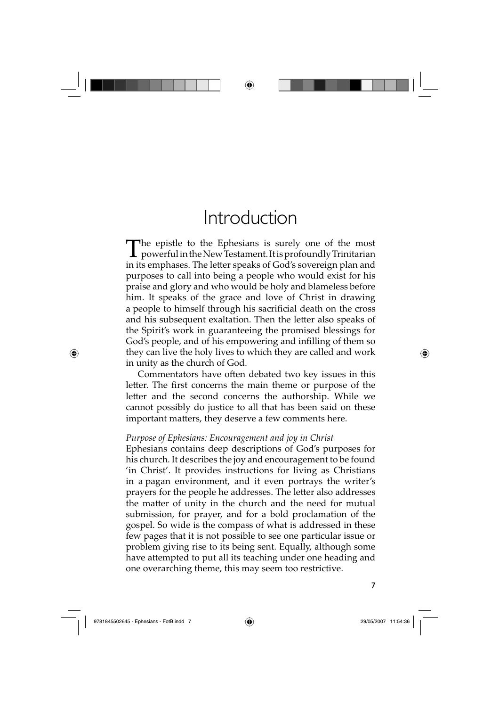### ◈

## Introduction

The epistle to the Ephesians is surely one of the most powerful in the New Testament. It is profoundly Trinitarian in its emphases. The letter speaks of God's sovereign plan and purposes to call into being a people who would exist for his praise and glory and who would be holy and blameless before him. It speaks of the grace and love of Christ in drawing a people to himself through his sacrificial death on the cross and his subsequent exaltation. Then the letter also speaks of the Spirit's work in guaranteeing the promised blessings for God's people, and of his empowering and infilling of them so they can live the holy lives to which they are called and work in unity as the church of God.

Commentators have often debated two key issues in this letter. The first concerns the main theme or purpose of the letter and the second concerns the authorship. While we cannot possibly do justice to all that has been said on these important matters, they deserve a few comments here.

#### *Purpose of Ephesians: Encouragement and joy in Christ*

Ephesians contains deep descriptions of God's purposes for his church. It describes the joy and encouragement to be found 'in Christ'. It provides instructions for living as Christians in a pagan environment, and it even portrays the writer's prayers for the people he addresses. The letter also addresses the matter of unity in the church and the need for mutual submission, for prayer, and for a bold proclamation of the gospel. So wide is the compass of what is addressed in these few pages that it is not possible to see one particular issue or problem giving rise to its being sent. Equally, although some have attempted to put all its teaching under one heading and one overarching theme, this may seem too restrictive.

⊕

⊕

7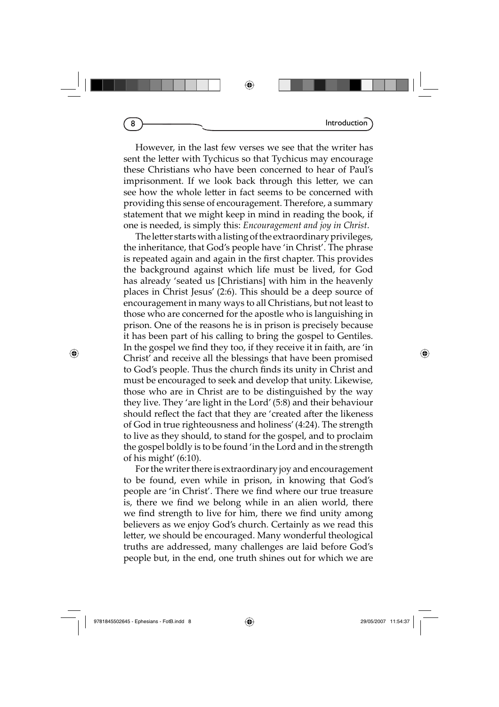

However, in the last few verses we see that the writer has sent the letter with Tychicus so that Tychicus may encourage these Christians who have been concerned to hear of Paul's imprisonment. If we look back through this letter, we can see how the whole letter in fact seems to be concerned with providing this sense of encouragement. Therefore, a summary statement that we might keep in mind in reading the book, if one is needed, is simply this: *Encouragement and joy in Christ*.

The letter starts with a listing of the extraordinary privileges, the inheritance, that God's people have 'in Christ'. The phrase is repeated again and again in the first chapter. This provides the background against which life must be lived, for God has already 'seated us [Christians] with him in the heavenly places in Christ Jesus' (2:6). This should be a deep source of encouragement in many ways to all Christians, but not least to those who are concerned for the apostle who is languishing in prison. One of the reasons he is in prison is precisely because it has been part of his calling to bring the gospel to Gentiles. In the gospel we find they too, if they receive it in faith, are 'in Christ' and receive all the blessings that have been promised to God's people. Thus the church finds its unity in Christ and must be encouraged to seek and develop that unity. Likewise, those who are in Christ are to be distinguished by the way they live. They 'are light in the Lord' (5:8) and their behaviour should reflect the fact that they are 'created after the likeness of God in true righteousness and holiness' (4:24). The strength to live as they should, to stand for the gospel, and to proclaim the gospel boldly is to be found 'in the Lord and in the strength of his might' (6:10).

For the writer there is extraordinary joy and encouragement to be found, even while in prison, in knowing that God's people are 'in Christ'. There we find where our true treasure is, there we find we belong while in an alien world, there we find strength to live for him, there we find unity among believers as we enjoy God's church. Certainly as we read this letter, we should be encouraged. Many wonderful theological truths are addressed, many challenges are laid before God's people but, in the end, one truth shines out for which we are

⊕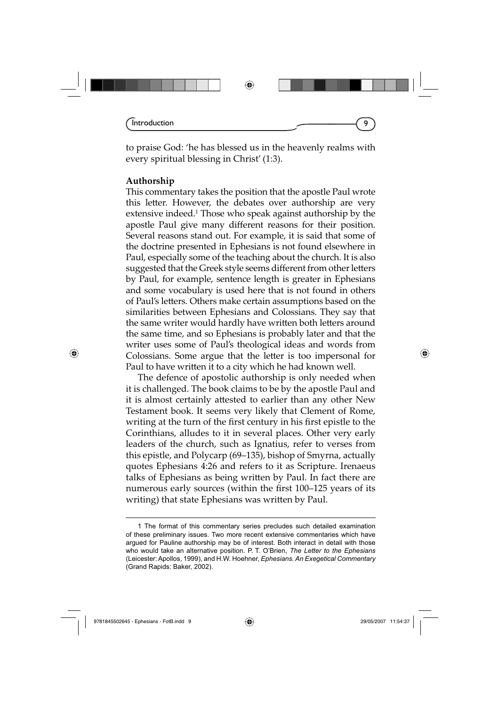

to praise God: 'he has blessed us in the heavenly realms with every spiritual blessing in Christ' (1:3).

#### **Authorship**

⊕

This commentary takes the position that the apostle Paul wrote this letter. However, the debates over authorship are very extensive indeed.<sup>1</sup> Those who speak against authorship by the apostle Paul give many different reasons for their position. Several reasons stand out. For example, it is said that some of the doctrine presented in Ephesians is not found elsewhere in Paul, especially some of the teaching about the church. It is also suggested that the Greek style seems different from other letters by Paul, for example, sentence length is greater in Ephesians and some vocabulary is used here that is not found in others of Paul's letters. Others make certain assumptions based on the similarities between Ephesians and Colossians. They say that the same writer would hardly have written both letters around the same time, and so Ephesians is probably later and that the writer uses some of Paul's theological ideas and words from Colossians. Some argue that the letter is too impersonal for Paul to have written it to a city which he had known well.

The defence of apostolic authorship is only needed when it is challenged. The book claims to be by the apostle Paul and it is almost certainly attested to earlier than any other New Testament book. It seems very likely that Clement of Rome, writing at the turn of the first century in his first epistle to the Corinthians, alludes to it in several places. Other very early leaders of the church, such as Ignatius, refer to verses from this epistle, and Polycarp (69–135), bishop of Smyrna, actually quotes Ephesians 4:26 and refers to it as Scripture. Irenaeus talks of Ephesians as being written by Paul. In fact there are numerous early sources (within the first 100-125 years of its writing) that state Ephesians was written by Paul.

<sup>1</sup> The format of this commentary series precludes such detailed examination of these preliminary issues. Two more recent extensive commentaries which have argued for Pauline authorship may be of interest. Both interact in detail with those who would take an alternative position. P. T. O'Brien, *The Letter to the Ephesians* (Leicester: Apollos, 1999), and H.W. Hoehner, *Ephesians. An Exegetical Commentary* (Grand Rapids: Baker, 2002).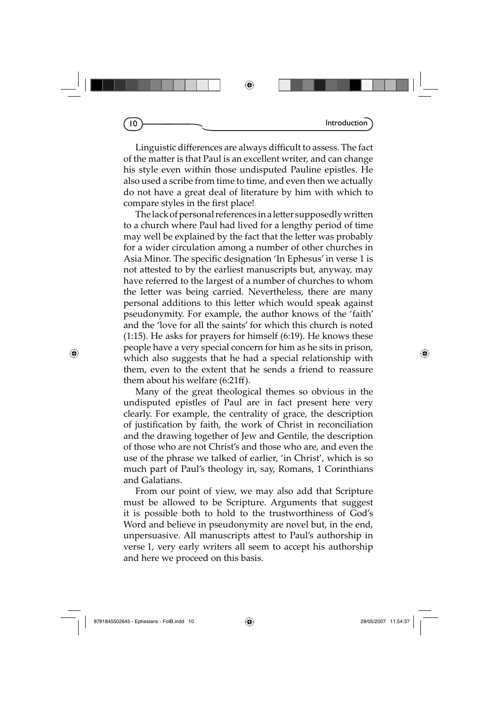

Linguistic differences are always difficult to assess. The fact of the matter is that Paul is an excellent writer, and can change his style even within those undisputed Pauline epistles. He also used a scribe from time to time, and even then we actually do not have a great deal of literature by him with which to compare styles in the first place!

The lack of personal references in a letter supposedly written to a church where Paul had lived for a lengthy period of time may well be explained by the fact that the letter was probably for a wider circulation among a number of other churches in Asia Minor. The specific designation 'In Ephesus' in verse 1 is not attested to by the earliest manuscripts but, anyway, may have referred to the largest of a number of churches to whom the letter was being carried. Nevertheless, there are many personal additions to this letter which would speak against pseudonymity. For example, the author knows of the 'faith' and the 'love for all the saints' for which this church is noted (1:15). He asks for prayers for himself (6:19). He knows these people have a very special concern for him as he sits in prison, which also suggests that he had a special relationship with them, even to the extent that he sends a friend to reassure them about his welfare (6:21ff).

Many of the great theological themes so obvious in the undisputed epistles of Paul are in fact present here very clearly. For example, the centrality of grace, the description of justification by faith, the work of Christ in reconciliation and the drawing together of Jew and Gentile, the description of those who are not Christ's and those who are, and even the use of the phrase we talked of earlier, 'in Christ', which is so much part of Paul's theology in, say, Romans, 1 Corinthians and Galatians.

From our point of view, we may also add that Scripture must be allowed to be Scripture. Arguments that suggest it is possible both to hold to the trustworthiness of God's Word and believe in pseudonymity are novel but, in the end, unpersuasive. All manuscripts attest to Paul's authorship in verse 1, very early writers all seem to accept his authorship and here we proceed on this basis.

⊕

◈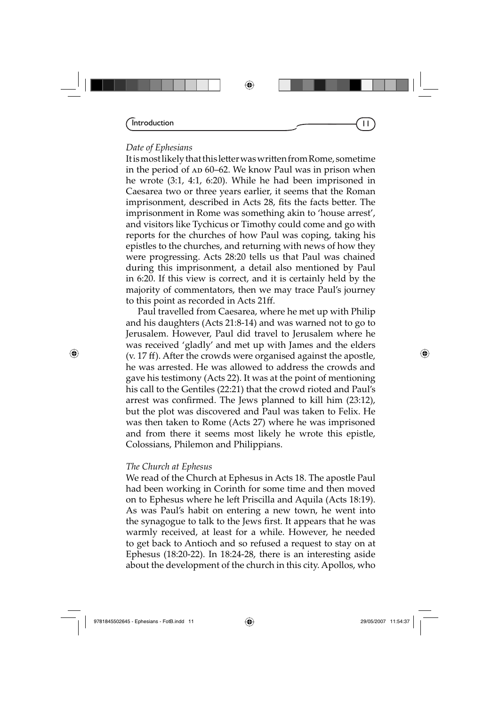

#### *Date of Ephesians*

It is most likely that this letter was written from Rome, sometime in the period of AD 60–62. We know Paul was in prison when he wrote (3:1, 4:1, 6:20). While he had been imprisoned in Caesarea two or three years earlier, it seems that the Roman imprisonment, described in Acts 28, fits the facts better. The imprisonment in Rome was something akin to 'house arrest', and visitors like Tychicus or Timothy could come and go with reports for the churches of how Paul was coping, taking his epistles to the churches, and returning with news of how they were progressing. Acts 28:20 tells us that Paul was chained during this imprisonment, a detail also mentioned by Paul in 6:20. If this view is correct, and it is certainly held by the majority of commentators, then we may trace Paul's journey to this point as recorded in Acts 21ff.

◈

Paul travelled from Caesarea, where he met up with Philip and his daughters (Acts 21:8-14) and was warned not to go to Jerusalem. However, Paul did travel to Jerusalem where he was received 'gladly' and met up with James and the elders (v. 17 ff). After the crowds were organised against the apostle, he was arrested. He was allowed to address the crowds and gave his testimony (Acts 22). It was at the point of mentioning his call to the Gentiles (22:21) that the crowd rioted and Paul's arrest was confirmed. The Jews planned to kill him (23:12), but the plot was discovered and Paul was taken to Felix. He was then taken to Rome (Acts 27) where he was imprisoned and from there it seems most likely he wrote this epistle, Colossians, Philemon and Philippians.

#### *The Church at Ephesus*

⊕

We read of the Church at Ephesus in Acts 18. The apostle Paul had been working in Corinth for some time and then moved on to Ephesus where he left Priscilla and Aquila (Acts 18:19). As was Paul's habit on entering a new town, he went into the synagogue to talk to the Jews first. It appears that he was warmly received, at least for a while. However, he needed to get back to Antioch and so refused a request to stay on at Ephesus (18:20-22). In 18:24-28, there is an interesting aside about the development of the church in this city. Apollos, who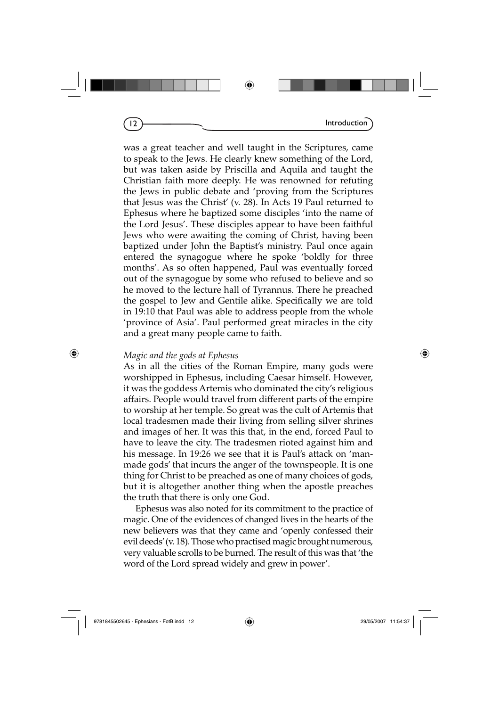

12 **Introduction** 

was a great teacher and well taught in the Scriptures, came to speak to the Jews. He clearly knew something of the Lord, but was taken aside by Priscilla and Aquila and taught the Christian faith more deeply. He was renowned for refuting the Jews in public debate and 'proving from the Scriptures that Jesus was the Christ' (v. 28). In Acts 19 Paul returned to Ephesus where he baptized some disciples 'into the name of the Lord Jesus'. These disciples appear to have been faithful Jews who were awaiting the coming of Christ, having been baptized under John the Baptist's ministry. Paul once again entered the synagogue where he spoke 'boldly for three months'. As so often happened, Paul was eventually forced out of the synagogue by some who refused to believe and so he moved to the lecture hall of Tyrannus. There he preached the gospel to Jew and Gentile alike. Specifically we are told in 19:10 that Paul was able to address people from the whole 'province of Asia'. Paul performed great miracles in the city and a great many people came to faith.

#### *Magic and the gods at Ephesus*

⊕

As in all the cities of the Roman Empire, many gods were worshipped in Ephesus, including Caesar himself. However, it was the goddess Artemis who dominated the city's religious affairs. People would travel from different parts of the empire to worship at her temple. So great was the cult of Artemis that local tradesmen made their living from selling silver shrines and images of her. It was this that, in the end, forced Paul to have to leave the city. The tradesmen rioted against him and his message. In 19:26 we see that it is Paul's attack on 'manmade gods' that incurs the anger of the townspeople. It is one thing for Christ to be preached as one of many choices of gods, but it is altogether another thing when the apostle preaches the truth that there is only one God.

Ephesus was also noted for its commitment to the practice of magic. One of the evidences of changed lives in the hearts of the new believers was that they came and 'openly confessed their evil deeds' (v. 18). Those who practised magic brought numerous, very valuable scrolls to be burned. The result of this was that 'the word of the Lord spread widely and grew in power'.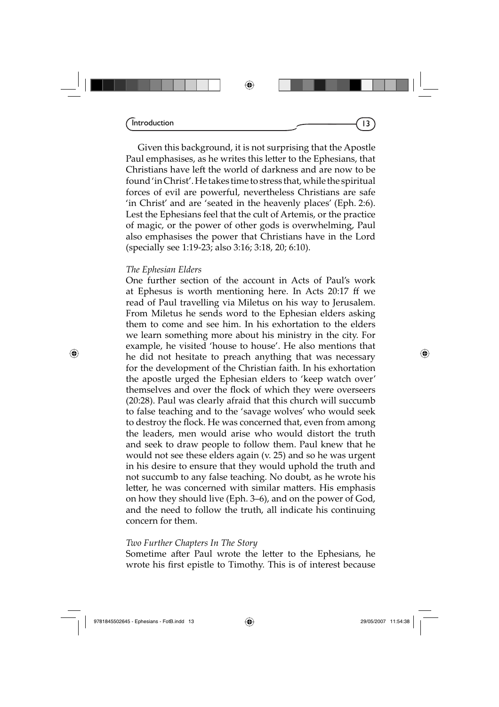### $\sim$  13

Given this background, it is not surprising that the Apostle Paul emphasises, as he writes this letter to the Ephesians, that Christians have left the world of darkness and are now to be found 'in Christ'. He takes time to stress that, while the spiritual forces of evil are powerful, nevertheless Christians are safe 'in Christ' and are 'seated in the heavenly places' (Eph. 2:6). Lest the Ephesians feel that the cult of Artemis, or the practice of magic, or the power of other gods is overwhelming, Paul also emphasises the power that Christians have in the Lord (specially see 1:19-23; also 3:16; 3:18, 20; 6:10).

◈

#### *The Ephesian Elders*

⊕

One further section of the account in Acts of Paul's work at Ephesus is worth mentioning here. In Acts 20:17 ff we read of Paul travelling via Miletus on his way to Jerusalem. From Miletus he sends word to the Ephesian elders asking them to come and see him. In his exhortation to the elders we learn something more about his ministry in the city. For example, he visited 'house to house'. He also mentions that he did not hesitate to preach anything that was necessary for the development of the Christian faith. In his exhortation the apostle urged the Ephesian elders to 'keep watch over' themselves and over the flock of which they were overseers (20:28). Paul was clearly afraid that this church will succumb to false teaching and to the 'savage wolves' who would seek to destroy the flock. He was concerned that, even from among the leaders, men would arise who would distort the truth and seek to draw people to follow them. Paul knew that he would not see these elders again (v. 25) and so he was urgent in his desire to ensure that they would uphold the truth and not succumb to any false teaching. No doubt, as he wrote his letter, he was concerned with similar matters. His emphasis on how they should live (Eph. 3–6), and on the power of God, and the need to follow the truth, all indicate his continuing concern for them.

#### *Two Further Chapters In The Story*

Sometime after Paul wrote the letter to the Ephesians, he wrote his first epistle to Timothy. This is of interest because